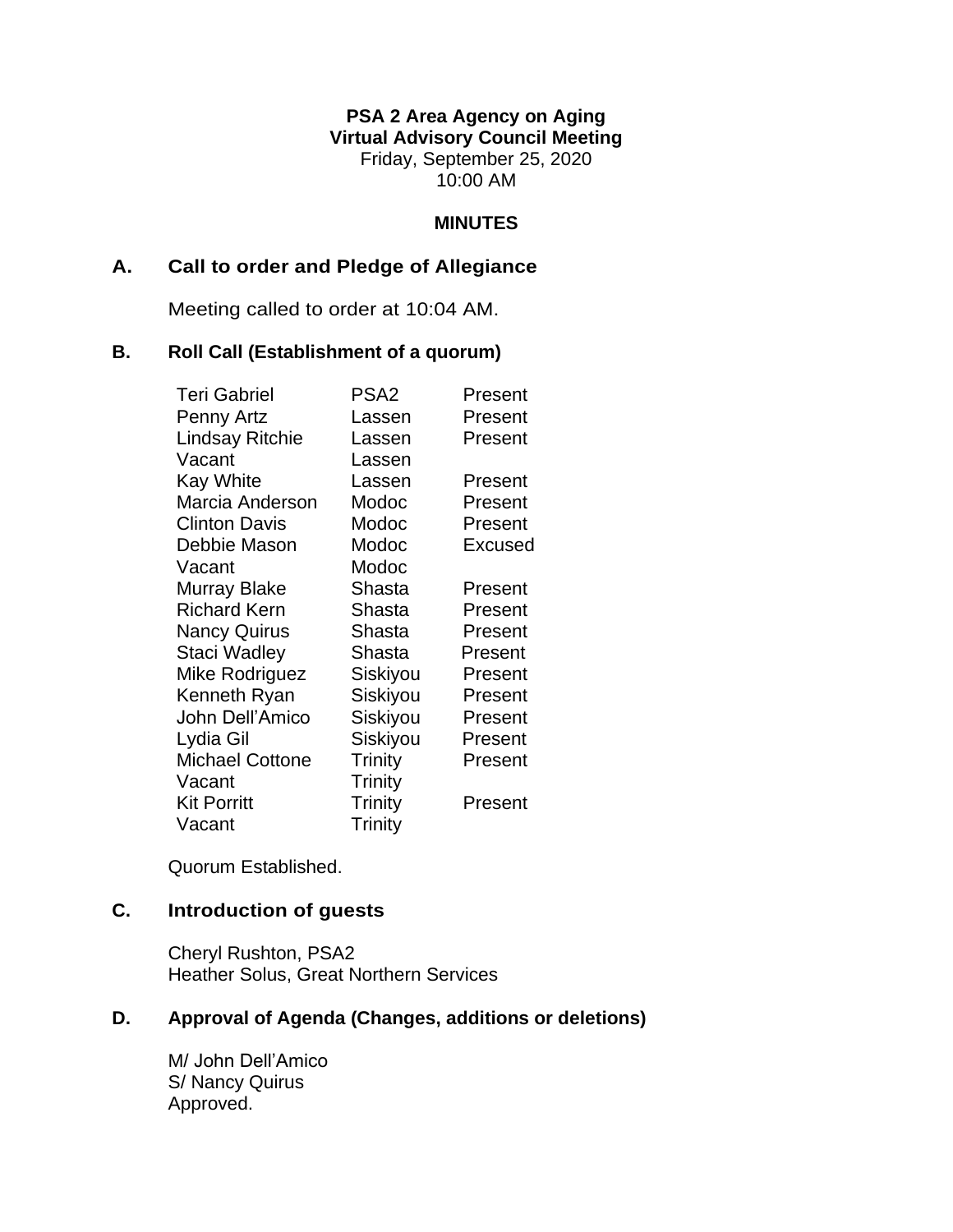#### **PSA 2 Area Agency on Aging Virtual Advisory Council Meeting** Friday, September 25, 2020 10:00 AM

#### **MINUTES**

#### **A. Call to order and Pledge of Allegiance**

Meeting called to order at 10:04 AM.

#### **B. Roll Call (Establishment of a quorum)**

| <b>Teri Gabriel</b>    | PSA <sub>2</sub> | Present |
|------------------------|------------------|---------|
| Penny Artz             | Lassen           | Present |
| <b>Lindsay Ritchie</b> | Lassen           | Present |
| Vacant                 | Lassen           |         |
| <b>Kay White</b>       | Lassen           | Present |
| Marcia Anderson        | Modoc            | Present |
| <b>Clinton Davis</b>   | Modoc            | Present |
| Debbie Mason           | Modoc            | Excused |
| Vacant                 | Modoc            |         |
| Murray Blake           | Shasta           | Present |
| <b>Richard Kern</b>    | Shasta           | Present |
| <b>Nancy Quirus</b>    | Shasta           | Present |
| Staci Wadley           | Shasta           | Present |
| Mike Rodriguez         | Siskiyou         | Present |
| Kenneth Ryan           | Siskiyou         | Present |
| John Dell'Amico        | Siskiyou         | Present |
| Lydia Gil              | Siskiyou         | Present |
| <b>Michael Cottone</b> | Trinity          | Present |
| Vacant                 | <b>Trinity</b>   |         |
| <b>Kit Porritt</b>     | <b>Trinity</b>   | Present |
| Vacant                 | <b>Trinity</b>   |         |

Quorum Established.

# **C. Introduction of guests**

Cheryl Rushton, PSA2 Heather Solus, Great Northern Services

## **D. Approval of Agenda (Changes, additions or deletions)**

M/ John Dell'Amico S/ Nancy Quirus Approved.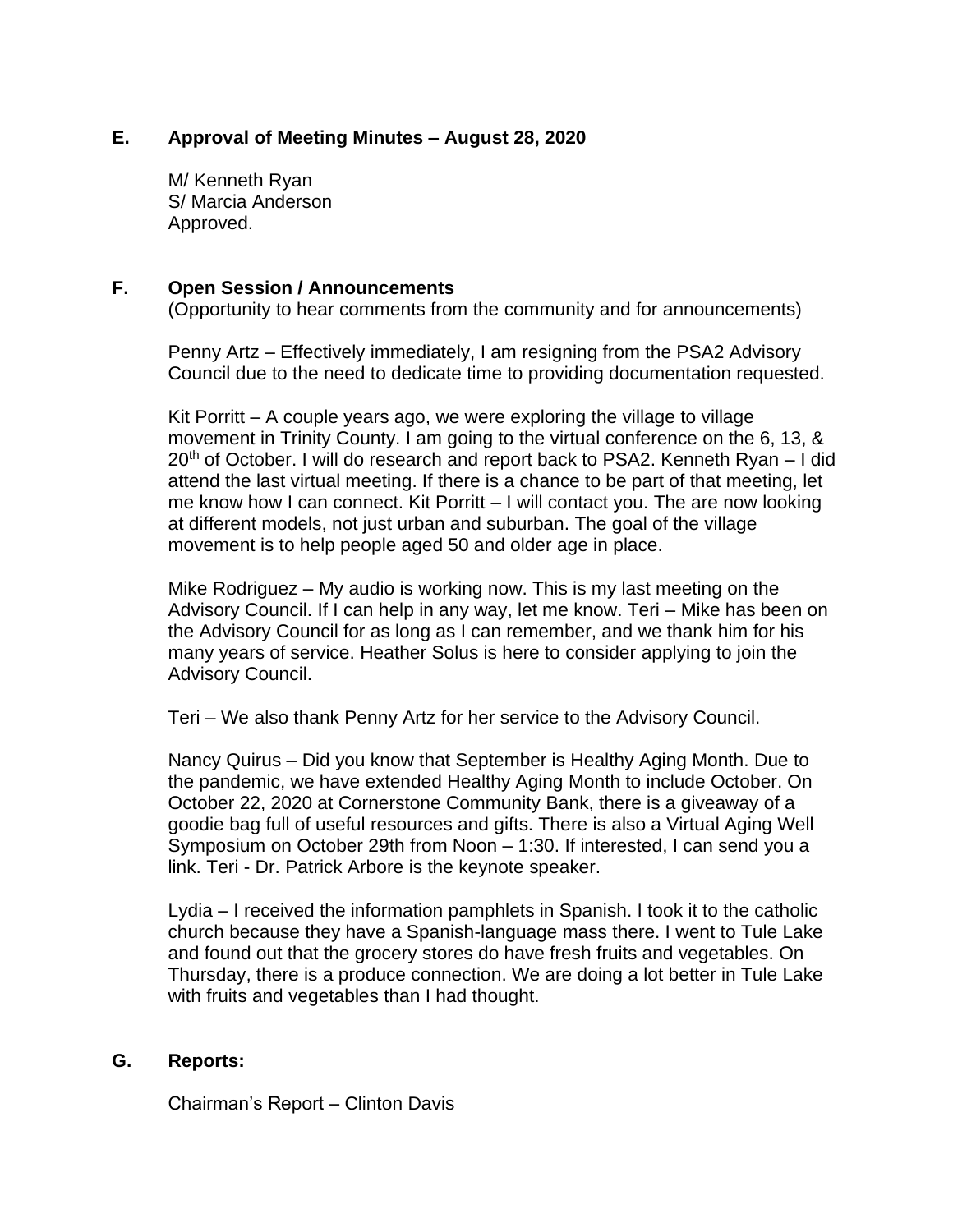## **E. Approval of Meeting Minutes – August 28, 2020**

M/ Kenneth Ryan S/ Marcia Anderson Approved.

#### **F. Open Session / Announcements**

(Opportunity to hear comments from the community and for announcements)

Penny Artz – Effectively immediately, I am resigning from the PSA2 Advisory Council due to the need to dedicate time to providing documentation requested.

Kit Porritt – A couple years ago, we were exploring the village to village movement in Trinity County. I am going to the virtual conference on the 6, 13, &  $20<sup>th</sup>$  of October. I will do research and report back to PSA2. Kenneth Ryan – I did attend the last virtual meeting. If there is a chance to be part of that meeting, let me know how I can connect. Kit Porritt – I will contact you. The are now looking at different models, not just urban and suburban. The goal of the village movement is to help people aged 50 and older age in place.

Mike Rodriguez – My audio is working now. This is my last meeting on the Advisory Council. If I can help in any way, let me know. Teri – Mike has been on the Advisory Council for as long as I can remember, and we thank him for his many years of service. Heather Solus is here to consider applying to join the Advisory Council.

Teri – We also thank Penny Artz for her service to the Advisory Council.

Nancy Quirus – Did you know that September is Healthy Aging Month. Due to the pandemic, we have extended Healthy Aging Month to include October. On October 22, 2020 at Cornerstone Community Bank, there is a giveaway of a goodie bag full of useful resources and gifts. There is also a Virtual Aging Well Symposium on October 29th from Noon – 1:30. If interested, I can send you a link. Teri - Dr. Patrick Arbore is the keynote speaker.

Lydia – I received the information pamphlets in Spanish. I took it to the catholic church because they have a Spanish-language mass there. I went to Tule Lake and found out that the grocery stores do have fresh fruits and vegetables. On Thursday, there is a produce connection. We are doing a lot better in Tule Lake with fruits and vegetables than I had thought.

## **G. Reports:**

Chairman's Report – Clinton Davis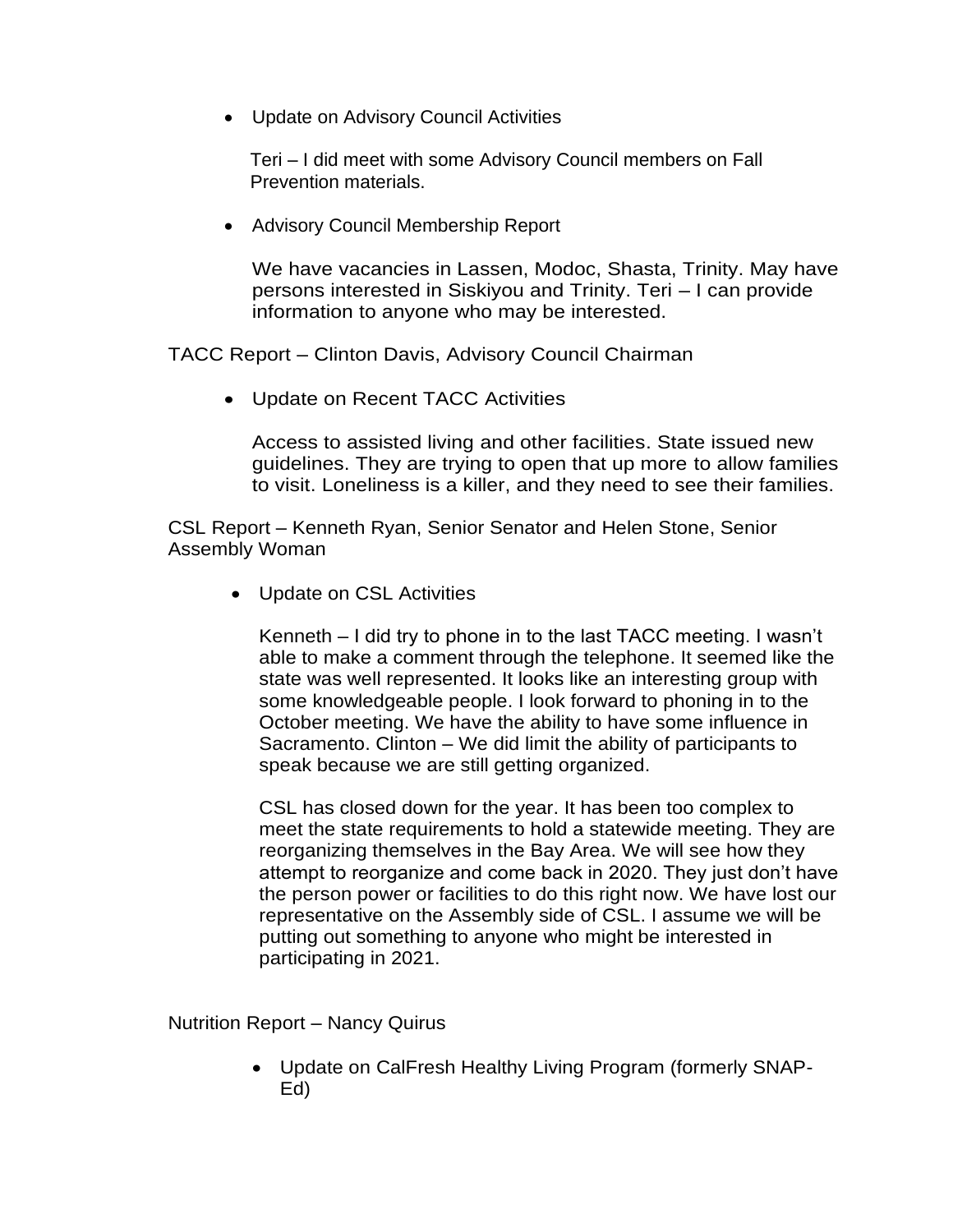• Update on Advisory Council Activities

 Teri – I did meet with some Advisory Council members on Fall Prevention materials.

• Advisory Council Membership Report

We have vacancies in Lassen, Modoc, Shasta, Trinity. May have persons interested in Siskiyou and Trinity. Teri – I can provide information to anyone who may be interested.

TACC Report – Clinton Davis, Advisory Council Chairman

• Update on Recent TACC Activities

Access to assisted living and other facilities. State issued new guidelines. They are trying to open that up more to allow families to visit. Loneliness is a killer, and they need to see their families.

CSL Report – Kenneth Ryan, Senior Senator and Helen Stone, Senior Assembly Woman

• Update on CSL Activities

Kenneth – I did try to phone in to the last TACC meeting. I wasn't able to make a comment through the telephone. It seemed like the state was well represented. It looks like an interesting group with some knowledgeable people. I look forward to phoning in to the October meeting. We have the ability to have some influence in Sacramento. Clinton – We did limit the ability of participants to speak because we are still getting organized.

CSL has closed down for the year. It has been too complex to meet the state requirements to hold a statewide meeting. They are reorganizing themselves in the Bay Area. We will see how they attempt to reorganize and come back in 2020. They just don't have the person power or facilities to do this right now. We have lost our representative on the Assembly side of CSL. I assume we will be putting out something to anyone who might be interested in participating in 2021.

Nutrition Report – Nancy Quirus

• Update on CalFresh Healthy Living Program (formerly SNAP-Ed)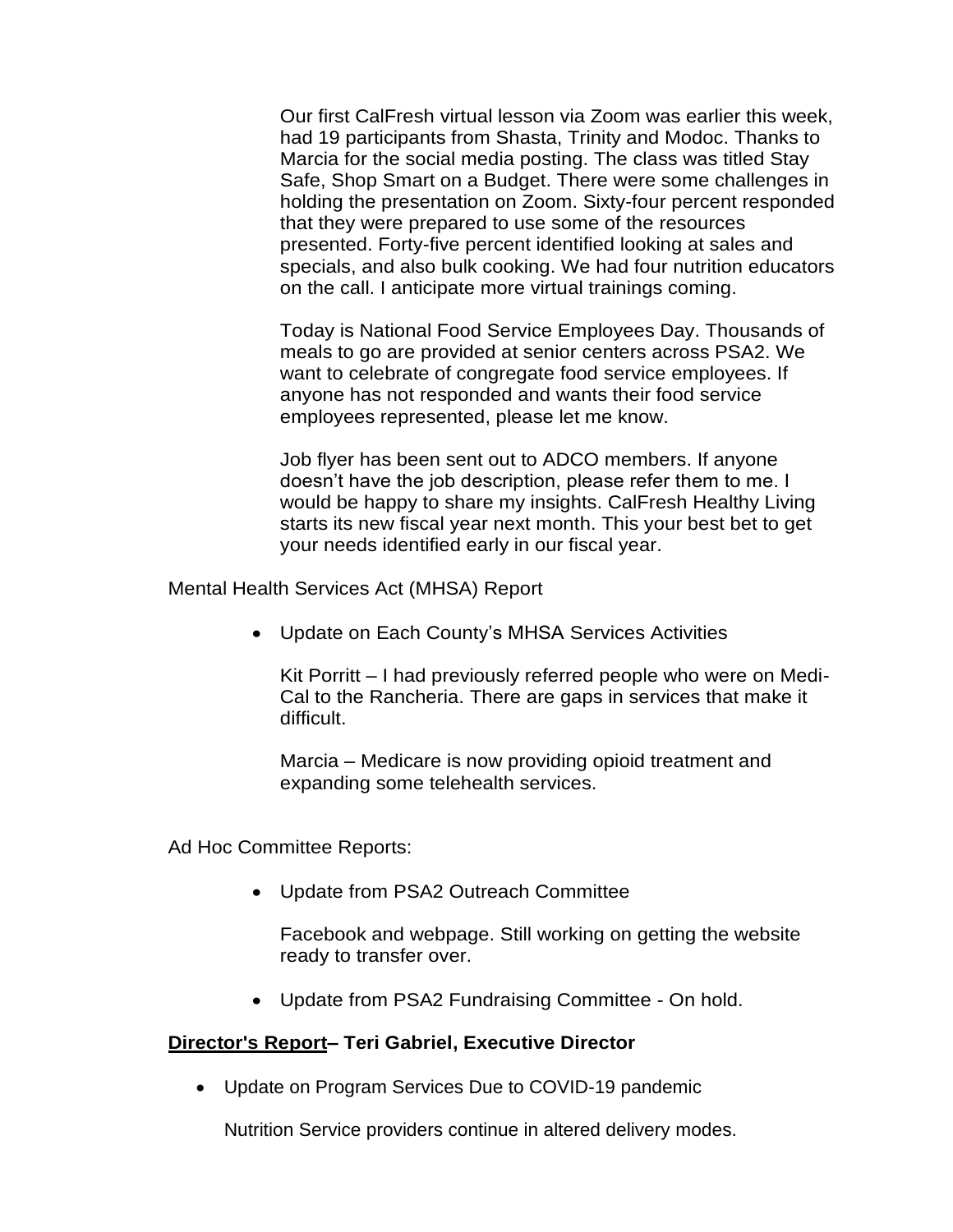Our first CalFresh virtual lesson via Zoom was earlier this week, had 19 participants from Shasta, Trinity and Modoc. Thanks to Marcia for the social media posting. The class was titled Stay Safe, Shop Smart on a Budget. There were some challenges in holding the presentation on Zoom. Sixty-four percent responded that they were prepared to use some of the resources presented. Forty-five percent identified looking at sales and specials, and also bulk cooking. We had four nutrition educators on the call. I anticipate more virtual trainings coming.

Today is National Food Service Employees Day. Thousands of meals to go are provided at senior centers across PSA2. We want to celebrate of congregate food service employees. If anyone has not responded and wants their food service employees represented, please let me know.

Job flyer has been sent out to ADCO members. If anyone doesn't have the job description, please refer them to me. I would be happy to share my insights. CalFresh Healthy Living starts its new fiscal year next month. This your best bet to get your needs identified early in our fiscal year.

Mental Health Services Act (MHSA) Report

• Update on Each County's MHSA Services Activities

Kit Porritt – I had previously referred people who were on Medi-Cal to the Rancheria. There are gaps in services that make it difficult.

Marcia – Medicare is now providing opioid treatment and expanding some telehealth services.

Ad Hoc Committee Reports:

• Update from PSA2 Outreach Committee

Facebook and webpage. Still working on getting the website ready to transfer over.

• Update from PSA2 Fundraising Committee - On hold.

#### **Director's Report– Teri Gabriel, Executive Director**

• Update on Program Services Due to COVID-19 pandemic

Nutrition Service providers continue in altered delivery modes.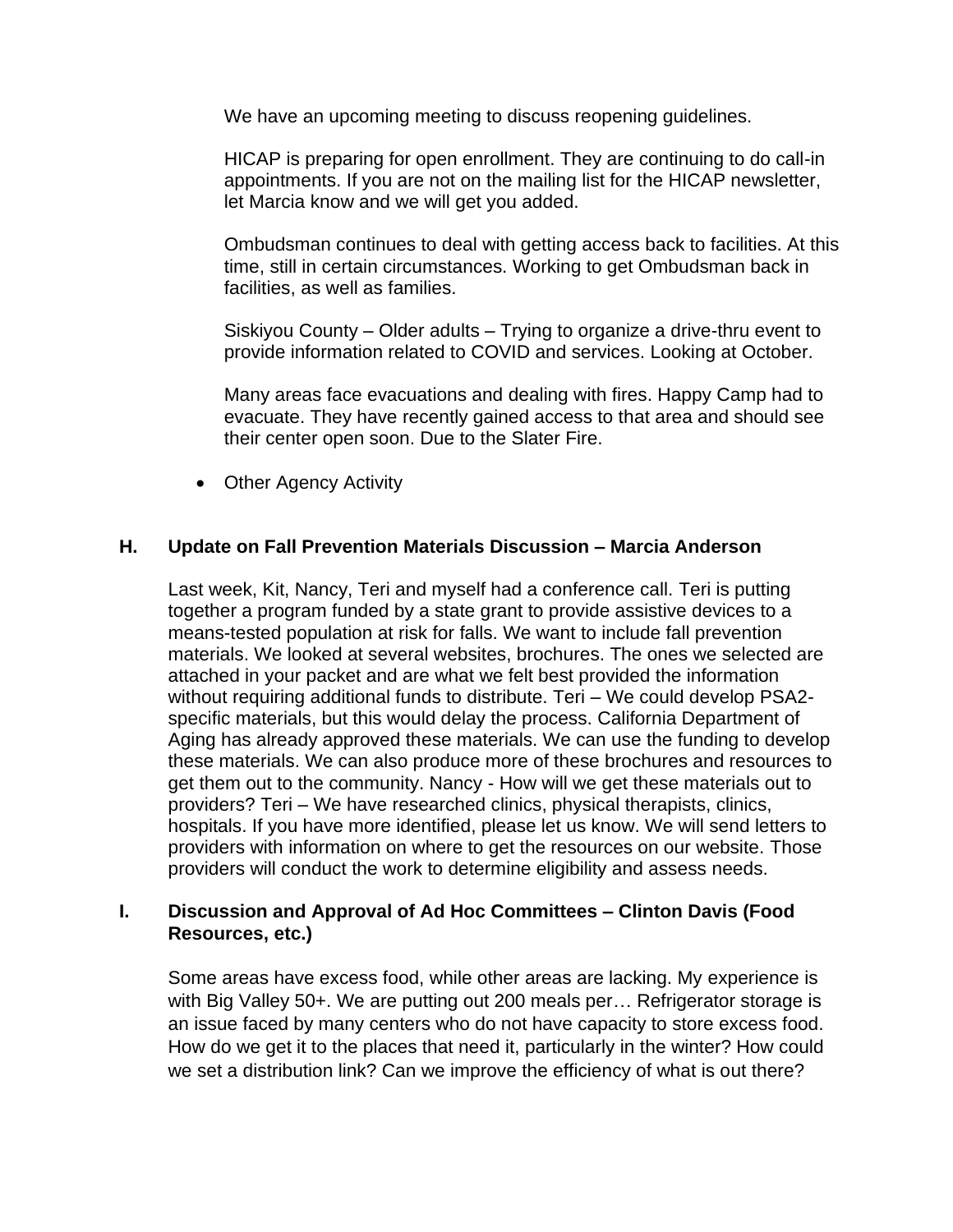We have an upcoming meeting to discuss reopening guidelines.

HICAP is preparing for open enrollment. They are continuing to do call-in appointments. If you are not on the mailing list for the HICAP newsletter, let Marcia know and we will get you added.

Ombudsman continues to deal with getting access back to facilities. At this time, still in certain circumstances. Working to get Ombudsman back in facilities, as well as families.

Siskiyou County – Older adults – Trying to organize a drive-thru event to provide information related to COVID and services. Looking at October.

Many areas face evacuations and dealing with fires. Happy Camp had to evacuate. They have recently gained access to that area and should see their center open soon. Due to the Slater Fire.

• Other Agency Activity

## **H. Update on Fall Prevention Materials Discussion – Marcia Anderson**

Last week, Kit, Nancy, Teri and myself had a conference call. Teri is putting together a program funded by a state grant to provide assistive devices to a means-tested population at risk for falls. We want to include fall prevention materials. We looked at several websites, brochures. The ones we selected are attached in your packet and are what we felt best provided the information without requiring additional funds to distribute. Teri – We could develop PSA2 specific materials, but this would delay the process. California Department of Aging has already approved these materials. We can use the funding to develop these materials. We can also produce more of these brochures and resources to get them out to the community. Nancy - How will we get these materials out to providers? Teri – We have researched clinics, physical therapists, clinics, hospitals. If you have more identified, please let us know. We will send letters to providers with information on where to get the resources on our website. Those providers will conduct the work to determine eligibility and assess needs.

## **I. Discussion and Approval of Ad Hoc Committees – Clinton Davis (Food Resources, etc.)**

Some areas have excess food, while other areas are lacking. My experience is with Big Valley 50+. We are putting out 200 meals per… Refrigerator storage is an issue faced by many centers who do not have capacity to store excess food. How do we get it to the places that need it, particularly in the winter? How could we set a distribution link? Can we improve the efficiency of what is out there?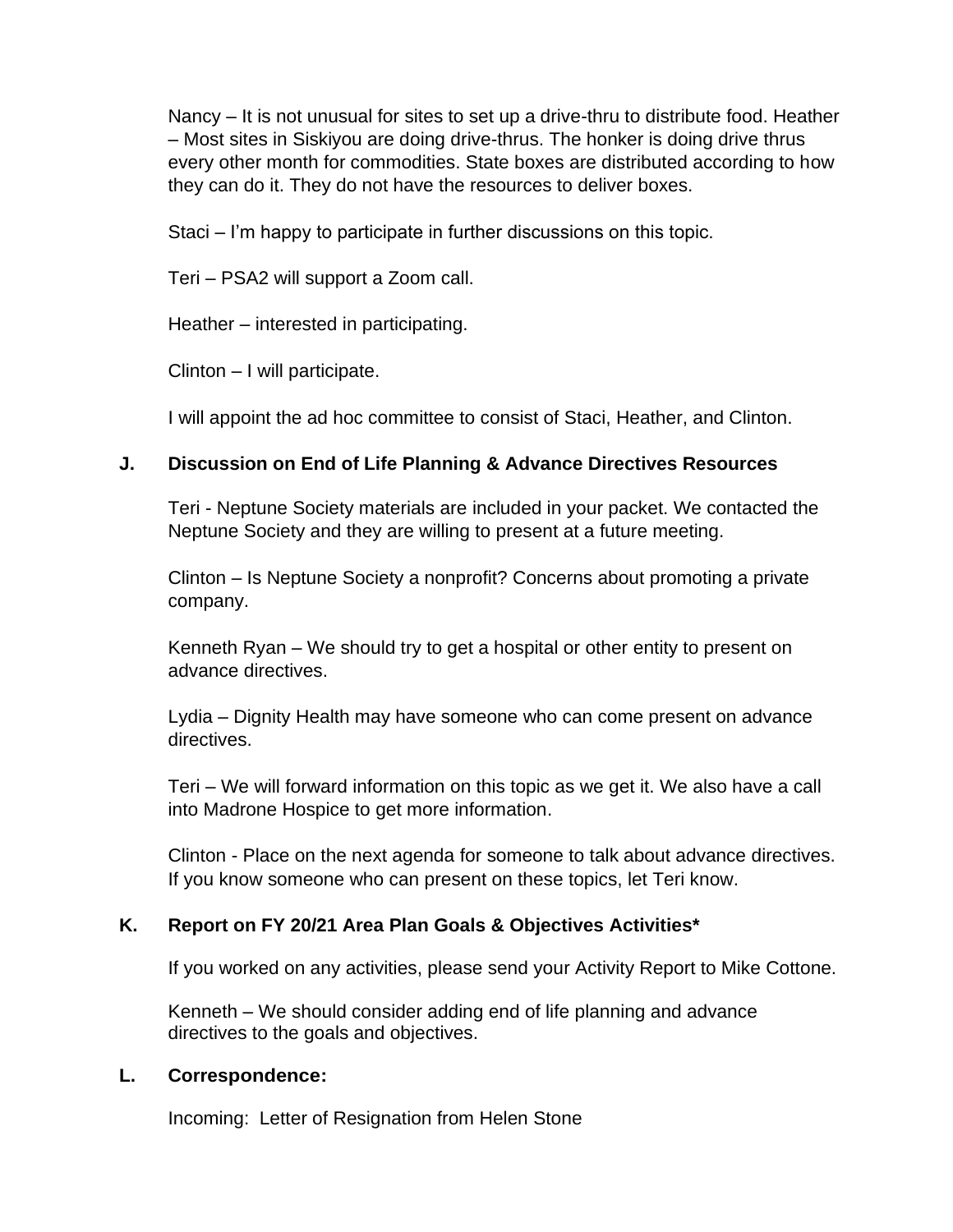Nancy – It is not unusual for sites to set up a drive-thru to distribute food. Heather – Most sites in Siskiyou are doing drive-thrus. The honker is doing drive thrus every other month for commodities. State boxes are distributed according to how they can do it. They do not have the resources to deliver boxes.

Staci – I'm happy to participate in further discussions on this topic.

Teri – PSA2 will support a Zoom call.

Heather – interested in participating.

Clinton – I will participate.

I will appoint the ad hoc committee to consist of Staci, Heather, and Clinton.

## **J. Discussion on End of Life Planning & Advance Directives Resources**

Teri - Neptune Society materials are included in your packet. We contacted the Neptune Society and they are willing to present at a future meeting.

Clinton – Is Neptune Society a nonprofit? Concerns about promoting a private company.

Kenneth Ryan – We should try to get a hospital or other entity to present on advance directives.

Lydia – Dignity Health may have someone who can come present on advance directives.

Teri – We will forward information on this topic as we get it. We also have a call into Madrone Hospice to get more information.

Clinton - Place on the next agenda for someone to talk about advance directives. If you know someone who can present on these topics, let Teri know.

## **K. Report on FY 20/21 Area Plan Goals & Objectives Activities\***

If you worked on any activities, please send your Activity Report to Mike Cottone.

Kenneth – We should consider adding end of life planning and advance directives to the goals and objectives.

## **L. Correspondence:**

Incoming: Letter of Resignation from Helen Stone